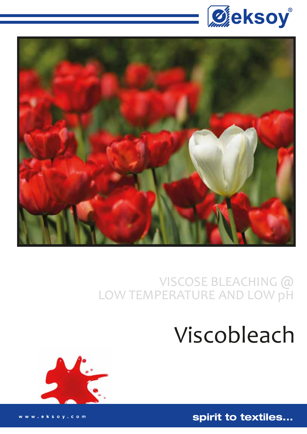



## VISCOSE BLEACHING @ LOW TEMPERATURE AND LOW pH

# Viscobleach



spirit to textiles...

www.eksoy.com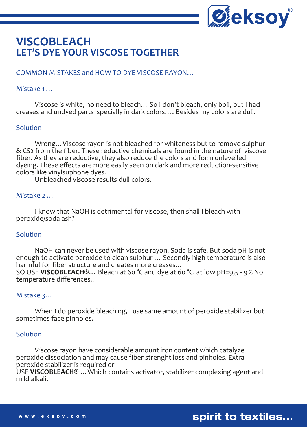

## **VISCOBLEACH LET'S DYE YOUR VISCOSE TOGETHER**

#### COMMON MISTAKES and HOW TO DYE VISCOSE RAYON…

#### Mistake 1

Viscose is white, no need to bleach… So I don't bleach, only boil, but I had creases and undyed parts specially in dark colors…. Besides my colors are dull.

#### **Solution**

Wrong…Viscose rayon is not bleached for whiteness but to remove sulphur & CS2 from the fiber. These reductive chemicals are found in the nature of viscose fiber. As they are reductive, they also reduce the colors and form unlevelled dyeing. These effects are more easily seen on dark and more reduction-sensitive colors like vinylsuphone dyes.

Unbleached viscose results dull colors.

#### Mistake 2 …

 I know that NaOH is detrimental for viscose, then shall I bleach with peroxide/soda ash?

#### Solution

 NaOH can never be used with viscose rayon. Soda is safe. But soda pH is not enough to activate peroxide to clean sulphur … Secondly high temperature is also harmful for fiber structure and creates more creases…

SO USE **VISCOBLEACH®**… Bleach at 60 °C and dye at 60 °C. at low pH=9,5 - 9 % No temperature differences..

#### Mistake 3…

 When I do peroxide bleaching, I use same amount of peroxide stabilizer but sometimes face pinholes.

#### **Solution**

Viscose rayon have considerable amount iron content which catalyze peroxide dissociation and may cause fiber strenght loss and pinholes. Extra peroxide stabilizer is required or

USE **VISCOBLEACH®** …Which contains activator, stabilizer complexing agent and mild alkali.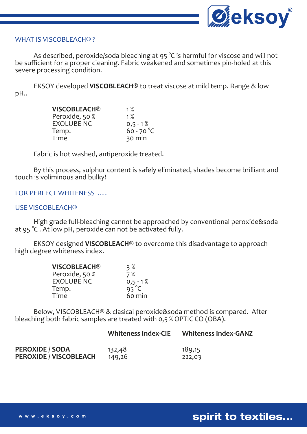

#### WHAT IS VISCOBLEACH® ?

 As described, peroxide/soda bleaching at 95 °C is harmful for viscose and will not be sufficient for a proper cleaning. Fabric weakened and sometimes pin-holed at this severe processing condition.

 EKSOY developed **VISCOBLEACH®** to treat viscose at mild temp. Range & low pH..

| <b>VISCOBLEACH®</b> | 1%           |
|---------------------|--------------|
| Peroxide, 50 %      | $1\%$        |
| <b>EXOLUBE NC</b>   | $0,5 - 1%$   |
| Temp.               | $60 - 70 °C$ |
| Time                | 30 min       |

Fabric is hot washed, antiperoxide treated.

 By this process, sulphur content is safely eliminated, shades become brilliant and touch is voliminous and bulky!

#### FOR PERFECT WHITENESS ….

#### USE VISCOBLEACH®

 High grade full-bleaching cannot be approached by conventional peroxide&soda at 95 °C . At low pH, peroxide can not be activated fully.

 EKSOY designed **VISCOBLEACH®** to overcome this disadvantage to approach high degree whiteness index.

| <b>VISCOBLEACH®</b> | 3%            |
|---------------------|---------------|
| Peroxide, 50 %      | 7%            |
| <b>EXOLUBE NC</b>   | $0,5 - 1%$    |
| Temp.               | $95^{\circ}C$ |
| Time                | 60 min        |

 Below, VISCOBLEACH® & clasical peroxide&soda method is compared. After bleaching both fabric samples are treated with 0,5 % OPTIC CO (OBA).

|                               | <b>Whiteness Index-CIE</b> | <b>Whiteness Index-GANZ</b> |
|-------------------------------|----------------------------|-----------------------------|
| <b>PEROXIDE / SODA</b>        | 132,48                     | 189,15                      |
| <b>PEROXIDE / VISCOBLEACH</b> | 149,26                     | 222,03                      |

spirit to textiles...